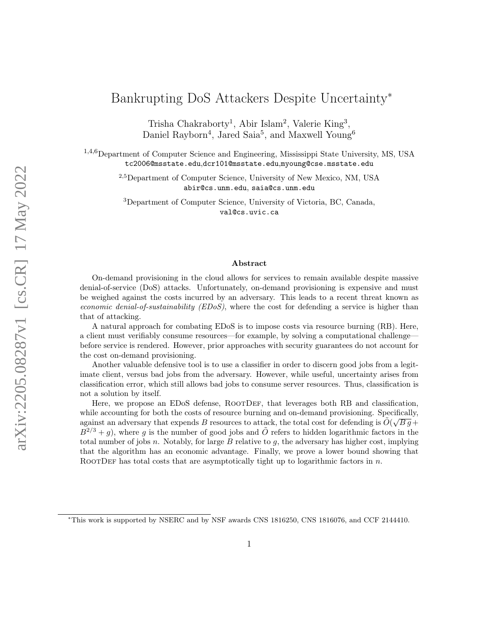# Bankrupting DoS Attackers Despite Uncertainty<sup>∗</sup>

Trisha Chakraborty<sup>1</sup>, Abir Islam<sup>2</sup>, Valerie King<sup>3</sup>, Daniel Rayborn<sup>4</sup>, Jared Saia<sup>5</sup>, and Maxwell Young<sup>6</sup>

<sup>1,4,6</sup>Department of Computer Science and Engineering, Mississippi State University, MS, USA tc2006@msstate.edu,dcr101@msstate.edu,myoung@cse.msstate.edu

> 2,5Department of Computer Science, University of New Mexico, NM, USA abir@cs.unm.edu, saia@cs.unm.edu

<sup>3</sup>Department of Computer Science, University of Victoria, BC, Canada, val@cs.uvic.ca

#### Abstract

On-demand provisioning in the cloud allows for services to remain available despite massive denial-of-service (DoS) attacks. Unfortunately, on-demand provisioning is expensive and must be weighed against the costs incurred by an adversary. This leads to a recent threat known as economic denial-of-sustainability ( $EDoS$ ), where the cost for defending a service is higher than that of attacking.

A natural approach for combating EDoS is to impose costs via resource burning (RB). Here, a client must verifiably consume resources—for example, by solving a computational challenge before service is rendered. However, prior approaches with security guarantees do not account for the cost on-demand provisioning.

Another valuable defensive tool is to use a classifier in order to discern good jobs from a legitimate client, versus bad jobs from the adversary. However, while useful, uncertainty arises from classification error, which still allows bad jobs to consume server resources. Thus, classification is not a solution by itself.

Here, we propose an EDoS defense, ROOTDEF, that leverages both RB and classification, while accounting for both the costs of resource burning and on-demand provisioning. Specifically, against an adversary that expends B resources to attack, the total cost for defending is  $\tilde{O}(\sqrt{Bg} +$  $B^{2/3} + g$ , where g is the number of good jobs and  $\tilde{O}$  refers to hidden logarithmic factors in the total number of jobs n. Notably, for large B relative to q, the adversary has higher cost, implying that the algorithm has an economic advantage. Finally, we prove a lower bound showing that ROOTDEF has total costs that are asymptotically tight up to logarithmic factors in  $n$ .

<sup>∗</sup>This work is supported by NSERC and by NSF awards CNS 1816250, CNS 1816076, and CCF 2144410.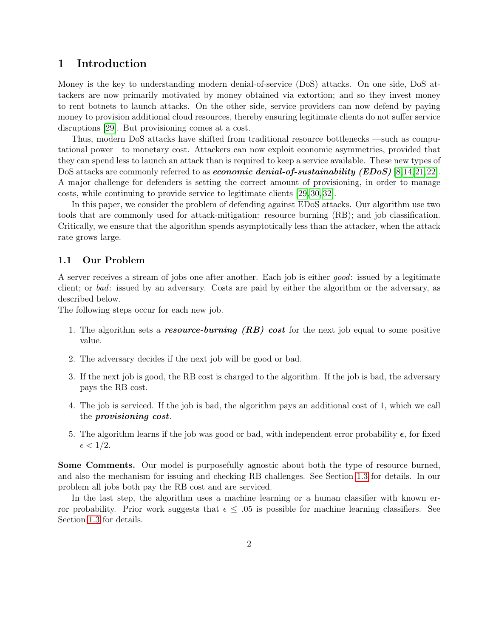## 1 Introduction

Money is the key to understanding modern denial-of-service (DoS) attacks. On one side, DoS attackers are now primarily motivated by money obtained via extortion; and so they invest money to rent botnets to launch attacks. On the other side, service providers can now defend by paying money to provision additional cloud resources, thereby ensuring legitimate clients do not suffer service disruptions [\[29\]](#page-18-0). But provisioning comes at a cost.

Thus, modern DoS attacks have shifted from traditional resource bottlenecks —such as computational power—to monetary cost. Attackers can now exploit economic asymmetries, provided that they can spend less to launch an attack than is required to keep a service available. These new types of DoS attacks are commonly referred to as *economic denial-of-sustainability (EDoS)* [\[8,](#page-16-0)[14,](#page-17-0)[21,](#page-17-1)[22\]](#page-17-2). A major challenge for defenders is setting the correct amount of provisioning, in order to manage costs, while continuing to provide service to legitimate clients [\[29,](#page-18-0) [30,](#page-18-1) [32\]](#page-18-2).

In this paper, we consider the problem of defending against EDoS attacks. Our algorithm use two tools that are commonly used for attack-mitigation: resource burning (RB); and job classification. Critically, we ensure that the algorithm spends asymptotically less than the attacker, when the attack rate grows large.

### 1.1 Our Problem

A server receives a stream of jobs one after another. Each job is either good: issued by a legitimate client; or bad: issued by an adversary. Costs are paid by either the algorithm or the adversary, as described below.

The following steps occur for each new job.

- 1. The algorithm sets a **resource-burning (RB) cost** for the next job equal to some positive value.
- 2. The adversary decides if the next job will be good or bad.
- 3. If the next job is good, the RB cost is charged to the algorithm. If the job is bad, the adversary pays the RB cost.
- 4. The job is serviced. If the job is bad, the algorithm pays an additional cost of 1, which we call the provisioning cost.
- 5. The algorithm learns if the job was good or bad, with independent error probability  $\epsilon$ , for fixed  $\epsilon < 1/2$ .

Some Comments. Our model is purposefully agnostic about both the type of resource burned, and also the mechanism for issuing and checking RB challenges. See Section [1.3](#page-2-0) for details. In our problem all jobs both pay the RB cost and are serviced.

In the last step, the algorithm uses a machine learning or a human classifier with known error probability. Prior work suggests that  $\epsilon \leq .05$  is possible for machine learning classifiers. See Section [1.3](#page-2-0) for details.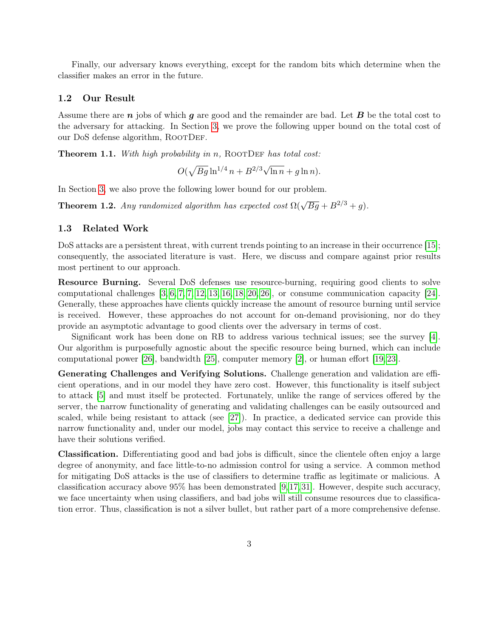Finally, our adversary knows everything, except for the random bits which determine when the classifier makes an error in the future.

### 1.2 Our Result

Assume there are  $n$  jobs of which  $g$  are good and the remainder are bad. Let  $B$  be the total cost to the adversary for attacking. In Section [3,](#page-10-0) we prove the following upper bound on the total cost of our DoS defense algorithm, ROOTDEF.

<span id="page-2-1"></span>**Theorem 1.1.** With high probability in n, ROOTDEF has total cost:

$$
O(\sqrt{Bg} \ln^{1/4} n + B^{2/3} \sqrt{\ln n} + g \ln n).
$$

In Section [3,](#page-10-0) we also prove the following lower bound for our problem.

**Theorem 1.2.** Any randomized algorithm has expected cost  $\Omega(\sqrt{Bg} + B^{2/3} + g)$ .

#### <span id="page-2-0"></span>1.3 Related Work

DoS attacks are a persistent threat, with current trends pointing to an increase in their occurrence [\[15\]](#page-17-3); consequently, the associated literature is vast. Here, we discuss and compare against prior results most pertinent to our approach.

Resource Burning. Several DoS defenses use resource-burning, requiring good clients to solve computational challenges  $[3, 6, 7, 7, 12, 13, 16, 18, 20, 26]$  $[3, 6, 7, 7, 12, 13, 16, 18, 20, 26]$  $[3, 6, 7, 7, 12, 13, 16, 18, 20, 26]$  $[3, 6, 7, 7, 12, 13, 16, 18, 20, 26]$  $[3, 6, 7, 7, 12, 13, 16, 18, 20, 26]$  $[3, 6, 7, 7, 12, 13, 16, 18, 20, 26]$  $[3, 6, 7, 7, 12, 13, 16, 18, 20, 26]$  $[3, 6, 7, 7, 12, 13, 16, 18, 20, 26]$  $[3, 6, 7, 7, 12, 13, 16, 18, 20, 26]$ , or consume communication capacity  $[24]$ . Generally, these approaches have clients quickly increase the amount of resource burning until service is received. However, these approaches do not account for on-demand provisioning, nor do they provide an asymptotic advantage to good clients over the adversary in terms of cost.

Significant work has been done on RB to address various technical issues; see the survey [\[4\]](#page-16-6). Our algorithm is purposefully agnostic about the specific resource being burned, which can include computational power [\[26\]](#page-18-3), bandwidth [\[25\]](#page-18-4), computer memory [\[2\]](#page-16-7), or human effort [\[19,](#page-17-8) [23\]](#page-17-9).

Generating Challenges and Verifying Solutions. Challenge generation and validation are efficient operations, and in our model they have zero cost. However, this functionality is itself subject to attack [\[5\]](#page-16-8) and must itself be protected. Fortunately, unlike the range of services offered by the server, the narrow functionality of generating and validating challenges can be easily outsourced and scaled, while being resistant to attack (see [\[27\]](#page-18-5)). In practice, a dedicated service can provide this narrow functionality and, under our model, jobs may contact this service to receive a challenge and have their solutions verified.

Classification. Differentiating good and bad jobs is difficult, since the clientele often enjoy a large degree of anonymity, and face little-to-no admission control for using a service. A common method for mitigating DoS attacks is the use of classifiers to determine traffic as legitimate or malicious. A classification accuracy above 95% has been demonstrated [\[9,](#page-16-9)[17,](#page-17-10)[31\]](#page-18-6). However, despite such accuracy, we face uncertainty when using classifiers, and bad jobs will still consume resources due to classification error. Thus, classification is not a silver bullet, but rather part of a more comprehensive defense.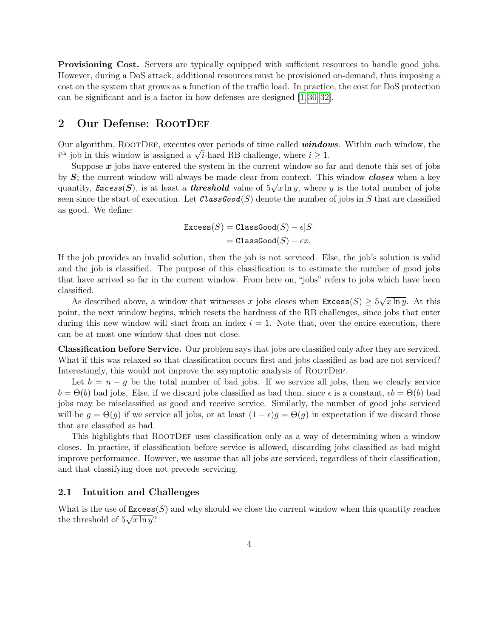Provisioning Cost. Servers are typically equipped with sufficient resources to handle good jobs. However, during a DoS attack, additional resources must be provisioned on-demand, thus imposing a cost on the system that grows as a function of the traffic load. In practice, the cost for DoS protection can be significant and is a factor in how defenses are designed [\[1,](#page-16-10) [30,](#page-18-1) [32\]](#page-18-2).

## 2 Our Defense: ROOTDEF

Our algorithm, ROOTDEF, executes over periods of time called **windows**. Within each window, the Our algorithm, KOOTDEF, executes over periods of time called **window**  $i^{\text{th}}$  job in this window is assigned a  $\sqrt{i}$ -hard RB challenge, where  $i \geq 1$ .

Suppose  $x$  jobs have entered the system in the current window so far and denote this set of jobs by  $S$ ; the current window will always be made clear from context. This window closes when a key quantity,  $\textit{Excess}(S)$ , is at least a threshold value of  $5\sqrt{x \ln y}$ , where y is the total number of jobs seen since the start of execution. Let  $\mathcal{C}lassGood(S)$  denote the number of jobs in S that are classified as good. We define:

$$
\begin{aligned} \text{Excess}(S) &= \texttt{ClassGood}(S) - \epsilon |S| \\ &= \texttt{ClassGood}(S) - \epsilon x. \end{aligned}
$$

If the job provides an invalid solution, then the job is not serviced. Else, the job's solution is valid and the job is classified. The purpose of this classification is to estimate the number of good jobs that have arrived so far in the current window. From here on, "jobs" refers to jobs which have been classified. √

As described above, a window that witnesses x jobs closes when  $\texttt{Excess}(S) \geq 5$  $\overline{x \ln y}$ . At this point, the next window begins, which resets the hardness of the RB challenges, since jobs that enter during this new window will start from an index  $i = 1$ . Note that, over the entire execution, there can be at most one window that does not close.

Classification before Service. Our problem says that jobs are classified only after they are serviced. What if this was relaxed so that classification occurs first and jobs classified as bad are not serviced? Interestingly, this would not improve the asymptotic analysis of ROOTDEF.

Let  $b = n - q$  be the total number of bad jobs. If we service all jobs, then we clearly service  $b = \Theta(b)$  bad jobs. Else, if we discard jobs classified as bad then, since  $\epsilon$  is a constant,  $\epsilon b = \Theta(b)$  bad jobs may be misclassified as good and receive service. Similarly, the number of good jobs serviced will be  $g = \Theta(g)$  if we service all jobs, or at least  $(1 - \epsilon)g = \Theta(g)$  in expectation if we discard those that are classified as bad.

This highlights that ROOTDEF uses classification only as a way of determining when a window closes. In practice, if classification before service is allowed, discarding jobs classified as bad might improve performance. However, we assume that all jobs are serviced, regardless of their classification, and that classifying does not precede servicing.

#### <span id="page-3-0"></span>2.1 Intuition and Challenges

What is the use of  $\text{Excess}(S)$  and why should we close the current window when this quantity reaches the threshold of  $5\sqrt{x \ln y}$ ?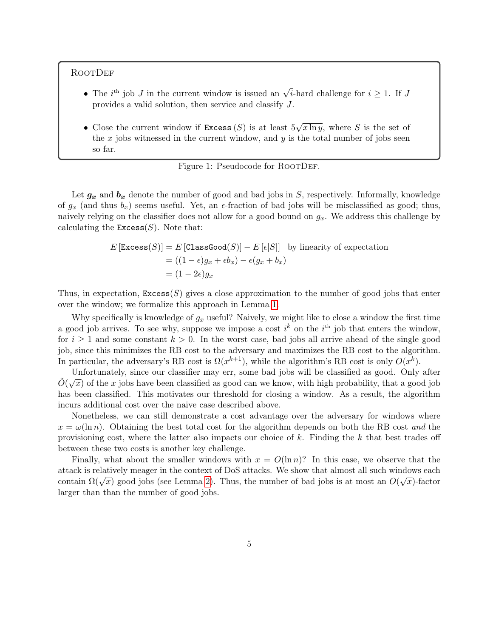**ROOTDEF** 

- The *i*<sup>th</sup> job *J* in the current window is issued an  $\sqrt{i}$ -hard challenge for  $i \geq 1$ . If *J* provides a valid solution, then service and classify J.
- Close the current window if  $\text{Excess}(S)$  is at least 5 √  $\overline{x \ln y}$ , where S is the set of the x jobs witnessed in the current window, and  $y$  is the total number of jobs seen so far.



Let  $g_x$  and  $b_x$  denote the number of good and bad jobs in S, respectively. Informally, knowledge of  $g_x$  (and thus  $b_x$ ) seems useful. Yet, an  $\epsilon$ -fraction of bad jobs will be misclassified as good; thus, naively relying on the classifier does not allow for a good bound on  $g_x$ . We address this challenge by calculating the  $\text{Excess}(S)$ . Note that:

$$
E\left[\text{Excess}(S)\right] = E\left[\text{ClassGood}(S)\right] - E\left[\epsilon|S|\right] \text{ by linearity of expectation}
$$

$$
= ((1 - \epsilon)g_x + \epsilon b_x) - \epsilon(g_x + b_x)
$$

$$
= (1 - 2\epsilon)g_x
$$

Thus, in expectation,  $\text{Excess}(S)$  gives a close approximation to the number of good jobs that enter over the window; we formalize this approach in Lemma [1.](#page-5-0)

Why specifically is knowledge of  $g_x$  useful? Naively, we might like to close a window the first time a good job arrives. To see why, suppose we impose a cost  $i^k$  on the  $i^{\text{th}}$  job that enters the window, for  $i \geq 1$  and some constant  $k > 0$ . In the worst case, bad jobs all arrive ahead of the single good job, since this minimizes the RB cost to the adversary and maximizes the RB cost to the algorithm. In particular, the adversary's RB cost is  $\Omega(x^{k+1})$ , while the algorithm's RB cost is only  $O(x^k)$ .

Unfortunately, since our classifier may err, some bad jobs will be classified as good. Only after ∧  $\tilde{O}(\sqrt{x})$  of the x jobs have been classified as good can we know, with high probability, that a good job has been classified. This motivates our threshold for closing a window. As a result, the algorithm incurs additional cost over the naive case described above.

Nonetheless, we can still demonstrate a cost advantage over the adversary for windows where  $x = \omega(\ln n)$ . Obtaining the best total cost for the algorithm depends on both the RB cost and the provisioning cost, where the latter also impacts our choice of  $k$ . Finding the  $k$  that best trades off between these two costs is another key challenge.

Finally, what about the smaller windows with  $x = O(\ln n)$ ? In this case, we observe that the attack is relatively meager in the context of DoS attacks. We show that almost all such windows each √ contain  $\Omega(\sqrt{x})$  good jobs (see Lemma [2\)](#page-5-1). Thus, the number of bad jobs is at most an  $O(\sqrt{x})$ -factor larger than than the number of good jobs.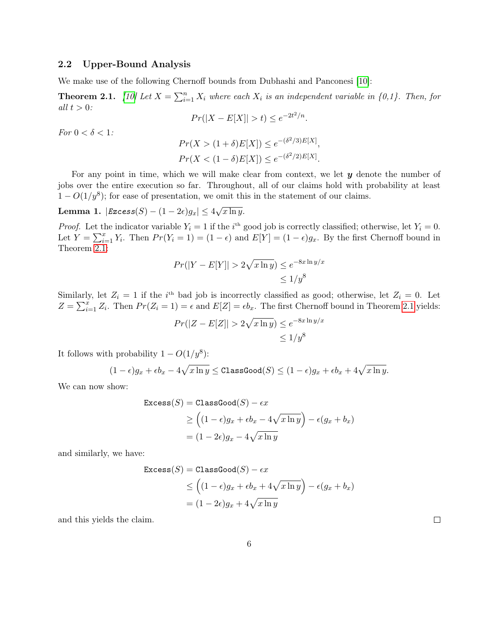#### <span id="page-5-3"></span>2.2 Upper-Bound Analysis

We make use of the following Chernoff bounds from Dubhashi and Panconesi [\[10\]](#page-16-11):

<span id="page-5-2"></span>**Theorem 2.1.** [\[10\]](#page-16-11) Let  $X = \sum_{i=1}^{n} X_i$  where each  $X_i$  is an independent variable in {0,1}. Then, for all  $t > 0$ :

$$
Pr(|X - E[X]| > t) \le e^{-2t^2/n}.
$$

For  $0 < \delta < 1$ :

$$
Pr(X > (1 + \delta)E[X]) \le e^{-(\delta^2/3)E[X]},
$$
  
 
$$
Pr(X < (1 - \delta)E[X]) \le e^{-(\delta^2/2)E[X]}.
$$

For any point in time, which we will make clear from context, we let  $y$  denote the number of jobs over the entire execution so far. Throughout, all of our claims hold with probability at least  $1 - O(1/y<sup>8</sup>)$ ; for ease of presentation, we omit this in the statement of our claims.

#### <span id="page-5-0"></span> ${\rm \bf Lemma \ 1.} \ \ |Excess(S)-(1-2\epsilon)g_x| \leq 4$ √  $\overline{x \ln y}$ .

*Proof.* Let the indicator variable  $Y_i = 1$  if the i<sup>th</sup> good job is correctly classified; otherwise, let  $Y_i = 0$ . Let  $Y = \sum_{i=1}^{x} Y_i$ . Then  $Pr(Y_i = 1) = (1 - \epsilon)$  and  $E[Y] = (1 - \epsilon)g_x$ . By the first Chernoff bound in Theorem [2.1:](#page-5-2)

$$
Pr(|Y - E[Y]| > 2\sqrt{x \ln y}) \le e^{-8x \ln y/x}
$$
  

$$
\le 1/y^8
$$

Similarly, let  $Z_i = 1$  if the i<sup>th</sup> bad job is incorrectly classified as good; otherwise, let  $Z_i = 0$ . Let  $Z = \sum_{i=1}^{x} Z_i$ . Then  $Pr(Z_i = 1) = \epsilon$  and  $E[Z] = \epsilon b_x$ . The first Chernoff bound in Theorem [2.1](#page-5-2) yields:

$$
Pr(|Z - E[Z]| > 2\sqrt{x \ln y}) \le e^{-8x \ln y/x}
$$
  

$$
\le 1/y^8
$$

It follows with probability  $1 - O(1/y^8)$ :

$$
(1-\epsilon)g_x + \epsilon b_x - 4\sqrt{x \ln y} \leq \text{ClassGood}(S) \leq (1-\epsilon)g_x + \epsilon b_x + 4\sqrt{x \ln y}.
$$

We can now show:

$$
\begin{aligned} \text{Excess}(S) &= \text{ClassGood}(S) - \epsilon x \\ &\ge \left( (1 - \epsilon)g_x + \epsilon b_x - 4\sqrt{x \ln y} \right) - \epsilon (g_x + b_x) \\ &= (1 - 2\epsilon)g_x - 4\sqrt{x \ln y} \end{aligned}
$$

and similarly, we have:

$$
\begin{aligned} \text{Excess}(S) &= \text{ClassGood}(S) - \epsilon x \\ &\le \left( (1 - \epsilon)g_x + \epsilon b_x + 4\sqrt{x \ln y} \right) - \epsilon (g_x + b_x) \\ &= (1 - 2\epsilon)g_x + 4\sqrt{x \ln y} \end{aligned}
$$

<span id="page-5-1"></span>and this yields the claim.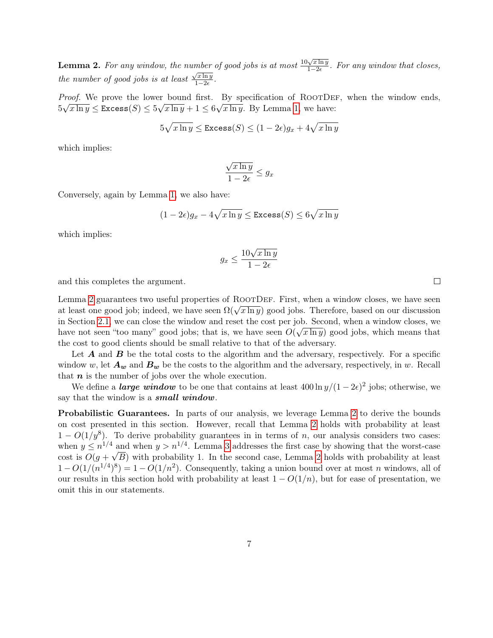**Lemma 2.** For any window, the number of good jobs is at most  $\frac{10\sqrt{x \ln y}}{1-x^2}$  $\frac{10}{2}$  in the good jobs is at most  $\frac{10\sqrt{x} \ln y}{1-2\epsilon}$ . For any window that closes, the number of good jobs is at least  $\frac{\sqrt{x \ln y}}{1 - 2\epsilon}$  $rac{\pi \ln y}{1-2\epsilon}$ .

*Proof.* We prove the lower bound first. By specification of ROOTDEF, when the window ends,  $5\sqrt{x\ln y} \leq {\tt Excess}(S) \leq 5\sqrt{x\ln y} + 1 \leq 6\sqrt{x\ln y}.$  By Lemma [1,](#page-5-0) we have:

$$
5\sqrt{x\ln y} \leq \text{Excess}(S) \leq (1 - 2\epsilon)g_x + 4\sqrt{x\ln y}
$$

which implies:

$$
\frac{\sqrt{x \ln y}}{1 - 2\epsilon} \le g_x
$$

Conversely, again by Lemma [1,](#page-5-0) we also have:

$$
(1 - 2\epsilon)g_x - 4\sqrt{x \ln y} \leq \text{Excess}(S) \leq 6\sqrt{x \ln y}
$$

which implies:

$$
g_x \le \frac{10\sqrt{x \ln y}}{1 - 2\epsilon}
$$

and this completes the argument.

Lemma [2](#page-5-1) guarantees two useful properties of ROOTDEF. First, when a window closes, we have seen Lemma 2 guarantees two useful properties of NOOTDEF. First, when a window closes, we have seen<br>at least one good job; indeed, we have seen  $\Omega(\sqrt{x \ln y})$  good jobs. Therefore, based on our discussion in Section [2.1,](#page-3-0) we can close the window and reset the cost per job. Second, when a window closes, we have not seen "too many" good jobs; that is, we have seen  $O(\sqrt{x \ln y})$  good jobs, which means that the cost to good clients should be small relative to that of the adversary.

Let  $A$  and  $B$  be the total costs to the algorithm and the adversary, respectively. For a specific window w, let  $A_w$  and  $B_w$  be the costs to the algorithm and the adversary, respectively, in w. Recall that  $n$  is the number of jobs over the whole execution.

We define a *large window* to be one that contains at least  $400 \ln y/(1 - 2\epsilon)^2$  jobs; otherwise, we say that the window is a **small window**.

Probabilistic Guarantees. In parts of our analysis, we leverage Lemma [2](#page-5-1) to derive the bounds on cost presented in this section. However, recall that Lemma [2](#page-5-1) holds with probability at least  $1 - O(1/y<sup>8</sup>)$ . To derive probability guarantees in in terms of n, our analysis considers two cases: when  $y \n\t\le n^{1/4}$  and when  $y > n^{1/4}$ . Lemma [3](#page-7-0) addresses the first case by showing that the worst-case cost is  $O(g + \sqrt{B})$  with probability 1. In the second case, Lemma [2](#page-5-1) holds with probability at least  $1 - O(1/(n^{1/4})^8) = 1 - O(1/n^2)$ . Consequently, taking a union bound over at most *n* windows, all of our results in this section hold with probability at least  $1 - O(1/n)$ , but for ease of presentation, we omit this in our statements.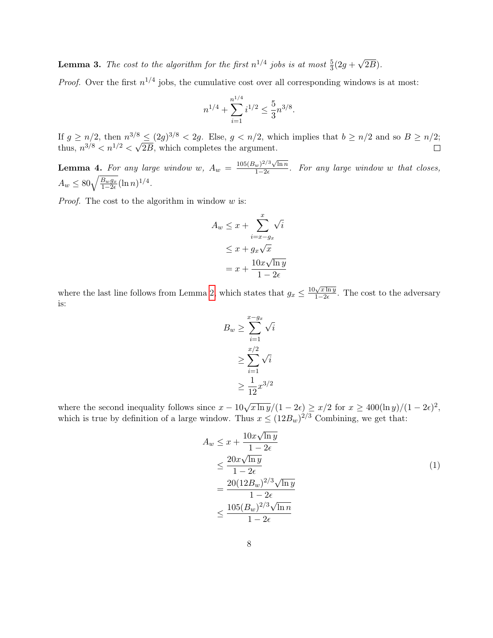<span id="page-7-0"></span>**Lemma 3.** The cost to the algorithm for the first  $n^{1/4}$  jobs is at most  $\frac{5}{3}(2g +$ √ 2B).

*Proof.* Over the first  $n^{1/4}$  jobs, the cumulative cost over all corresponding windows is at most:

$$
n^{1/4} + \sum_{i=1}^{n^{1/4}} i^{1/2} \leq \frac{5}{3} n^{3/8}
$$

.

If  $g \ge n/2$ , then  $n^{3/8} \le (2g)^{3/8} < 2g$ . Else,  $g < n/2$ , which implies that  $b \ge n/2$  and so  $B \ge n/2$ ; If  $g \ge n/2$ , then  $n^{3/8}$ <br>thus,  $n^{3/8} < n^{1/2} < \sqrt{n}$ 2B, which completes the argument.

<span id="page-7-2"></span>**Lemma 4.** For any large window w,  $A_w = \frac{105(B_w)^{2/3}\sqrt{\ln n}}{1-2\epsilon}$  $\frac{1}{1-2\epsilon}$ . For any large window w that closes,  $A_w \leq 80 \sqrt{\frac{B_w g_x}{1-2\epsilon}} (\ln n)^{1/4}.$ 

*Proof.* The cost to the algorithm in window  $w$  is:

$$
A_w \leq x + \sum_{i=x-g_x}^{x} \sqrt{i}
$$
  

$$
\leq x + g_x \sqrt{x}
$$
  

$$
= x + \frac{10x\sqrt{\ln y}}{1 - 2\epsilon}
$$

where the last line follows from Lemma [2,](#page-5-1) which states that  $g_x \n\t\leq \frac{10\sqrt{x \ln y}}{1-2e}$  $\frac{\sqrt{x \ln y}}{1-2\epsilon}$ . The cost to the adversary is:

$$
B_w \ge \sum_{i=1}^{x-g_x} \sqrt{i}
$$

$$
\ge \sum_{i=1}^{x/2} \sqrt{i}
$$

$$
\ge \frac{1}{12} x^{3/2}
$$

where the second inequality follows since  $x - 10\sqrt{x \ln y}/(1 - 2\epsilon) \ge x/2$  for  $x \ge 400(\ln y)/(1 - 2\epsilon)^2$ , which is true by definition of a large window. Thus  $x \leq (12B_w)^{2/3}$  Combining, we get that:

<span id="page-7-1"></span>
$$
A_w \leq x + \frac{10x\sqrt{\ln y}}{1 - 2\epsilon}
$$
  
\n
$$
\leq \frac{20x\sqrt{\ln y}}{1 - 2\epsilon}
$$
  
\n
$$
= \frac{20(12B_w)^{2/3}\sqrt{\ln y}}{1 - 2\epsilon}
$$
  
\n
$$
\leq \frac{105(B_w)^{2/3}\sqrt{\ln n}}{1 - 2\epsilon}
$$
 (1)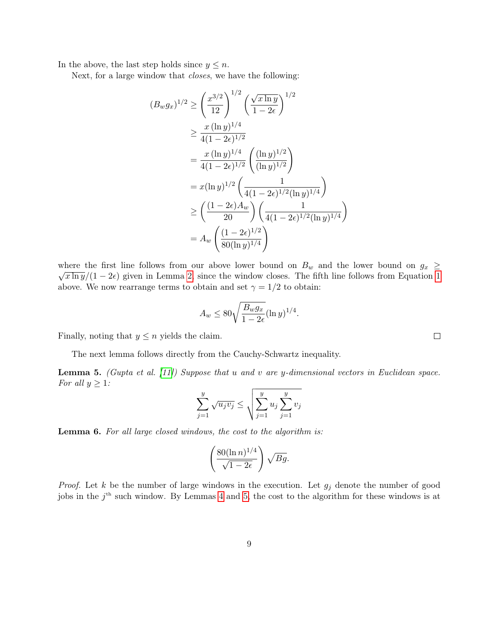In the above, the last step holds since  $y \leq n$ .

Next, for a large window that closes, we have the following:

$$
(B_w g_x)^{1/2} \ge \left(\frac{x^{3/2}}{12}\right)^{1/2} \left(\frac{\sqrt{x \ln y}}{1 - 2\epsilon}\right)^{1/2}
$$
  
\n
$$
\ge \frac{x (\ln y)^{1/4}}{4(1 - 2\epsilon)^{1/2}}
$$
  
\n
$$
= \frac{x (\ln y)^{1/4}}{4(1 - 2\epsilon)^{1/2}} \left(\frac{(\ln y)^{1/2}}{(\ln y)^{1/2}}\right)
$$
  
\n
$$
= x (\ln y)^{1/2} \left(\frac{1}{4(1 - 2\epsilon)^{1/2} (\ln y)^{1/4}}\right)
$$
  
\n
$$
\ge \left(\frac{(1 - 2\epsilon)A_w}{20}\right) \left(\frac{1}{4(1 - 2\epsilon)^{1/2} (\ln y)^{1/4}}\right)
$$
  
\n
$$
= A_w \left(\frac{(1 - 2\epsilon)^{1/2}}{80(\ln y)^{1/4}}\right)
$$

where the first line follows from our above lower bound on  $B_w$  and the lower bound on  $g_x \geq 0$  $\sqrt{x \ln y}/(1-2\epsilon)$  given in Lemma [2,](#page-5-1) since the window closes. The fifth line follows from Equation [1](#page-7-1) above. We now rearrange terms to obtain and set  $\gamma = 1/2$  to obtain:

$$
A_w \le 80 \sqrt{\frac{B_w g_x}{1 - 2\epsilon}} (\ln y)^{1/4}.
$$

Finally, noting that  $y \leq n$  yields the claim.

The next lemma follows directly from the Cauchy-Schwartz inequality.

<span id="page-8-0"></span>**Lemma 5.** (Gupta et al. [\[11\]](#page-16-12)) Suppose that u and v are y-dimensional vectors in Euclidean space. For all  $y \geq 1$ :

$$
\sum_{j=1}^{y} \sqrt{u_j v_j} \le \sqrt{\sum_{j=1}^{y} u_j \sum_{j=1}^{y} v_j}
$$

Lemma 6. For all large closed windows, the cost to the algorithm is:

$$
\left(\frac{80(\ln n)^{1/4}}{\sqrt{1-2\epsilon}}\right)\sqrt{Bg}.
$$

*Proof.* Let k be the number of large windows in the execution. Let  $g_j$  denote the number of good jobs in the  $j<sup>th</sup>$  such window. By Lemmas [4](#page-7-2) and [5,](#page-8-0) the cost to the algorithm for these windows is at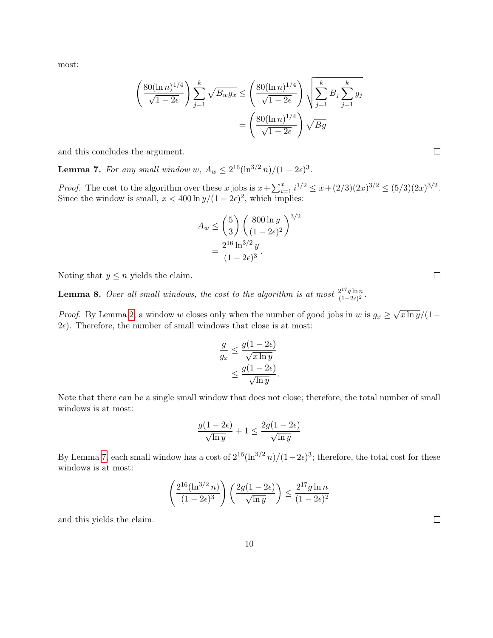most:

$$
\left(\frac{80(\ln n)^{1/4}}{\sqrt{1-2\epsilon}}\right) \sum_{j=1}^{k} \sqrt{B_w g_x} \le \left(\frac{80(\ln n)^{1/4}}{\sqrt{1-2\epsilon}}\right) \sqrt{\sum_{j=1}^{k} B_j \sum_{j=1}^{k} g_j}
$$

$$
= \left(\frac{80(\ln n)^{1/4}}{\sqrt{1-2\epsilon}}\right) \sqrt{Bg}
$$

and this concludes the argument.

<span id="page-9-0"></span>**Lemma 7.** For any small window w,  $A_w \leq 2^{16}(\ln^{3/2} n)/(1-2\epsilon)^3$ .

*Proof.* The cost to the algorithm over these x jobs is  $x + \sum_{i=1}^{x} i^{1/2} \leq x + (2/3)(2x)^{3/2} \leq (5/3)(2x)^{3/2}$ . Since the window is small,  $x < 400 \ln y/(1 - 2\epsilon)^2$ , which implies:

$$
A_w \le \left(\frac{5}{3}\right) \left(\frac{800 \ln y}{(1 - 2\epsilon)^2}\right)^{3/2}
$$
  
= 
$$
\frac{2^{16} \ln^{3/2} y}{(1 - 2\epsilon)^3}.
$$

Noting that  $y \leq n$  yields the claim.

<span id="page-9-1"></span>**Lemma 8.** Over all small windows, the cost to the algorithm is at most  $\frac{2^{17}g\ln n}{(1-2\epsilon)^2}$  $\frac{2^{\pi} g \ln n}{(1-2\epsilon)^2}.$ 

*Proof.* By Lemma [2,](#page-5-1) a window w closes only when the number of good jobs in w is  $g_x \geq$ √  $\sqrt{x \ln y}/(1 2\epsilon$ ). Therefore, the number of small windows that close is at most:

$$
\frac{g}{g_x} \le \frac{g(1 - 2\epsilon)}{\sqrt{x \ln y}} \le \frac{g(1 - 2\epsilon)}{\sqrt{\ln y}}.
$$

Note that there can be a single small window that does not close; therefore, the total number of small windows is at most:

$$
\frac{g(1-2\epsilon)}{\sqrt{\ln y}} + 1 \le \frac{2g(1-2\epsilon)}{\sqrt{\ln y}}
$$

By Lemma [7,](#page-9-0) each small window has a cost of  $2^{16}(\ln^{3/2} n)/(1-2\epsilon)^3$ ; therefore, the total cost for these windows is at most:

$$
\left(\frac{2^{16}(\ln^{3/2} n)}{(1-2\epsilon)^3}\right)\left(\frac{2g(1-2\epsilon)}{\sqrt{\ln y}}\right) \le \frac{2^{17}g\ln n}{(1-2\epsilon)^2}
$$

and this yields the claim.

 $\Box$ 

 $\Box$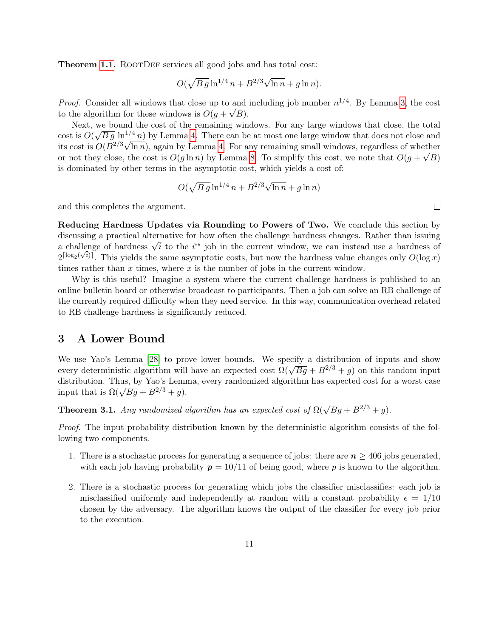**Theorem [1.1.](#page-2-1)** ROOTDEF services all good jobs and has total cost:

$$
O(\sqrt{B\,g}\ln^{1/4}n + B^{2/3}\sqrt{\ln n} + g\ln n).
$$

*Proof.* Consider all windows that close up to and including job number  $n^{1/4}$ . By Lemma [3,](#page-7-0) the cost to the algorithm for these windows is  $O(g + \sqrt{B}).$ 

Next, we bound the cost of the remaining windows. For any large windows that close, the total  $\cos t$  is  $O($ we bound the cost of the remaining windows. For any large windows that close, the total  $\sqrt{Bg} \ln^{1/4} n$  by Lemma [4.](#page-7-2) There can be at most one large window that does not close and its cost is  $O(B^{2/3}\sqrt{\ln n})$ , again by Lemma [4.](#page-7-2) For any remaining small windows, regardless of whether or not they close, the cost is  $O(g \ln n)$  by Lemma [8.](#page-9-1) To simplify this cost, we note that  $O(g + \sqrt{B})$ is dominated by other terms in the asymptotic cost, which yields a cost of:

$$
O(\sqrt{B\,g}\ln^{1/4}n + B^{2/3}\sqrt{\ln n} + g\ln n)
$$

and this completes the argument.

Reducing Hardness Updates via Rounding to Powers of Two. We conclude this section by discussing a practical alternative for how often the challenge hardness changes. Rather than issuing discussing a practical alternative for now often the challenge hardness changes. Rather than issuing a challenge of hardness  $\sqrt{i}$  to the  $i^{\text{th}}$  job in the current window, we can instead use a hardness of  $2^{\lceil \log_2(\sqrt{i}) \rceil}$ . This yields the same asymptotic costs, but now the hardness value changes only  $O(\log x)$ times rather than  $x$  times, where  $x$  is the number of jobs in the current window.

Why is this useful? Imagine a system where the current challenge hardness is published to an online bulletin board or otherwise broadcast to participants. Then a job can solve an RB challenge of the currently required difficulty when they need service. In this way, communication overhead related to RB challenge hardness is significantly reduced.

## <span id="page-10-0"></span>3 A Lower Bound

We use Yao's Lemma [\[28\]](#page-18-7) to prove lower bounds. We specify a distribution of inputs and show we use Tao's Lemma [26] to prove lower bounds. We specify a distribution of inputs and show<br>every deterministic algorithm will have an expected cost  $\Omega(\sqrt{Bg} + B^{2/3} + g)$  on this random input distribution. Thus, by Yao's Lemma, every randomized algorithm has expected cost for a worst case distribution. Thus, by Tao's Lemi<br>input that is  $\Omega(\sqrt{Bg} + B^{2/3} + g)$ .

**Theorem 3.1.** Any randomized algorithm has an expected cost of  $\Omega(\sqrt{Bg} + B^{2/3} + g)$ .

Proof. The input probability distribution known by the deterministic algorithm consists of the following two components.

- 1. There is a stochastic process for generating a sequence of jobs: there are  $n \geq 406$  jobs generated, with each job having probability  $p = 10/11$  of being good, where p is known to the algorithm.
- 2. There is a stochastic process for generating which jobs the classifier misclassifies: each job is misclassified uniformly and independently at random with a constant probability  $\epsilon = 1/10$ chosen by the adversary. The algorithm knows the output of the classifier for every job prior to the execution.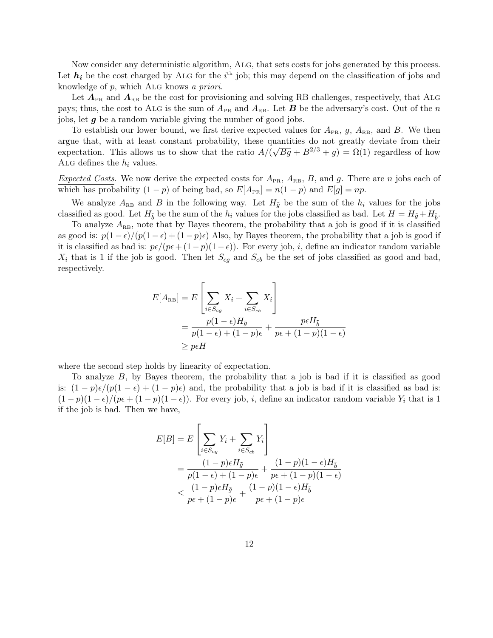Now consider any deterministic algorithm, Alg, that sets costs for jobs generated by this process. Let  $h_i$  be the cost charged by ALG for the i<sup>th</sup> job; this may depend on the classification of jobs and knowledge of  $p$ , which ALG knows a priori.

Let  $A_{PR}$  and  $A_{RB}$  be the cost for provisioning and solving RB challenges, respectively, that ALG pays; thus, the cost to ALG is the sum of  $A_{PR}$  and  $A_{RB}$ . Let **B** be the adversary's cost. Out of the n jobs, let  $g$  be a random variable giving the number of good jobs.

To establish our lower bound, we first derive expected values for  $A_{PR}$ , g,  $A_{RB}$ , and B. We then argue that, with at least constant probability, these quantities do not greatly deviate from their expectation. This allows us to show that the ratio  $A/(\sqrt{Bg} + B^{2/3} + g) = \Omega(1)$  regardless of how ALG defines the  $h_i$  values.

Expected Costs. We now derive the expected costs for  $A_{PR}$ ,  $A_{RB}$ ,  $B$ , and g. There are n jobs each of which has probability  $(1 - p)$  of being bad, so  $E[A_{PR}] = n(1 - p)$  and  $E[g] = np$ .

We analyze  $A_{\text{RB}}$  and B in the following way. Let  $H_{\tilde{g}}$  be the sum of the  $h_i$  values for the jobs classified as good. Let  $H_{\tilde{b}}$  be the sum of the  $h_i$  values for the jobs classified as bad. Let  $H = H_{\tilde{g}} + H_{\tilde{b}}$ .

To analyze  $A_{RB}$ , note that by Bayes theorem, the probability that a job is good if it is classified as good is:  $p(1-\epsilon)/(p(1-\epsilon)+(1-p)\epsilon)$  Also, by Bayes theorem, the probability that a job is good if it is classified as bad is:  $p\epsilon/(p\epsilon + (1-p)(1-\epsilon))$ . For every job, i, define an indicator random variable  $X_i$  that is 1 if the job is good. Then let  $S_{cg}$  and  $S_{cb}$  be the set of jobs classified as good and bad, respectively.

$$
E[A_{\text{RB}}] = E\left[\sum_{i \in S_{cg}} X_i + \sum_{i \in S_{cb}} X_i\right]
$$
  
= 
$$
\frac{p(1-\epsilon)H_{\tilde{g}}}{p(1-\epsilon) + (1-p)\epsilon} + \frac{p\epsilon H_{\tilde{b}}}{p\epsilon + (1-p)(1-\epsilon)}
$$
  

$$
\geq p\epsilon H
$$

where the second step holds by linearity of expectation.

To analyze  $B$ , by Bayes theorem, the probability that a job is bad if it is classified as good is:  $(1-p)\epsilon/(p(1-\epsilon)+(1-p)\epsilon)$  and, the probability that a job is bad if it is classified as bad is:  $(1-p)(1-\epsilon)/(p\epsilon+(1-p)(1-\epsilon))$ . For every job, *i*, define an indicator random variable Y<sub>i</sub> that is 1 if the job is bad. Then we have,

$$
E[B] = E\left[\sum_{i \in S_{cg}} Y_i + \sum_{i \in S_{cb}} Y_i\right]
$$
  
= 
$$
\frac{(1-p)\epsilon H_{\tilde{g}}}{p(1-\epsilon) + (1-p)\epsilon} + \frac{(1-p)(1-\epsilon)H_{\tilde{b}}}{p\epsilon + (1-p)(1-\epsilon)}
$$
  

$$
\leq \frac{(1-p)\epsilon H_{\tilde{g}}}{p\epsilon + (1-p)\epsilon} + \frac{(1-p)(1-\epsilon)H_{\tilde{b}}}{p\epsilon + (1-p)\epsilon}
$$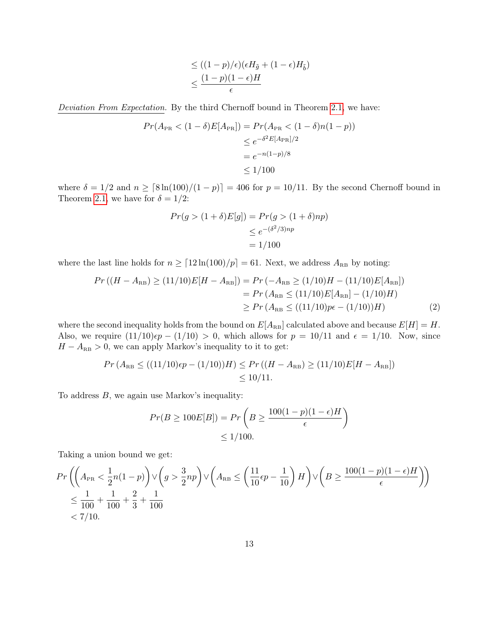$$
\leq ((1-p)/\epsilon)(\epsilon H_{\tilde{g}} + (1-\epsilon)H_{\tilde{b}})
$$
  

$$
\leq \frac{(1-p)(1-\epsilon)H}{\epsilon}
$$

Deviation From Expectation. By the third Chernoff bound in Theorem [2.1,](#page-5-2) we have:

$$
Pr(A_{PR} < (1 - \delta)E[A_{PR}]) = Pr(A_{PR} < (1 - \delta)n(1 - p))
$$
  
\n
$$
\leq e^{-\delta^2 E[A_{PR}]/2}
$$
  
\n
$$
= e^{-n(1-p)/8}
$$
  
\n
$$
\leq 1/100
$$

where  $\delta = 1/2$  and  $n \geq \lceil 8 \ln(100)/(1-p) \rceil = 406$  for  $p = 10/11$ . By the second Chernoff bound in Theorem [2.1,](#page-5-2) we have for  $\delta = 1/2$ :

<span id="page-12-0"></span>
$$
Pr(g > (1 + \delta)E[g]) = Pr(g > (1 + \delta)np)
$$

$$
\leq e^{-(\delta^2/3)np}
$$

$$
= 1/100
$$

where the last line holds for  $n \geq \lfloor 12 \ln(100)/p \rfloor = 61$ . Next, we address  $A_{\text{RB}}$  by noting:

$$
Pr((H - A_{\text{RB}}) \ge (11/10)E[H - A_{\text{RB}}]) = Pr(-A_{\text{RB}} \ge (1/10)H - (11/10)E[A_{\text{RB}}])
$$
  
= 
$$
Pr(A_{\text{RB}} \le (11/10)E[A_{\text{RB}}] - (1/10)H)
$$
  

$$
\ge Pr(A_{\text{RB}} \le ((11/10)p\epsilon - (1/10))H)
$$
 (2)

where the second inequality holds from the bound on  $E[A_{RB}]$  calculated above and because  $E[H] = H$ . Also, we require  $(11/10)\epsilon p - (1/10) > 0$ , which allows for  $p = 10/11$  and  $\epsilon = 1/10$ . Now, since  $H-A_\text{\sc RB} > 0,$  we can apply Markov's inequality to it to get:

$$
Pr(A_{RB} \le ((11/10)\epsilon p - (1/10))H) \le Pr((H - A_{RB}) \ge (11/10)E[H - A_{RB}])
$$
  

$$
\le 10/11.
$$

To address  $B$ , we again use Markov's inequality:

$$
Pr(B \ge 100E[B]) = Pr\left(B \ge \frac{100(1-p)(1-\epsilon)H}{\epsilon}\right)
$$

$$
\le 1/100.
$$

Taking a union bound we get:

$$
Pr\left(\left(A_{PR} < \frac{1}{2}n(1-p)\right) \vee \left(g > \frac{3}{2}np\right) \vee \left(A_{RB} \le \left(\frac{11}{10}\epsilon p - \frac{1}{10}\right)H\right) \vee \left(B \ge \frac{100(1-p)(1-\epsilon)H}{\epsilon}\right)\right) \le \frac{1}{100} + \frac{1}{100} + \frac{2}{3} + \frac{1}{100} \le 7/10.
$$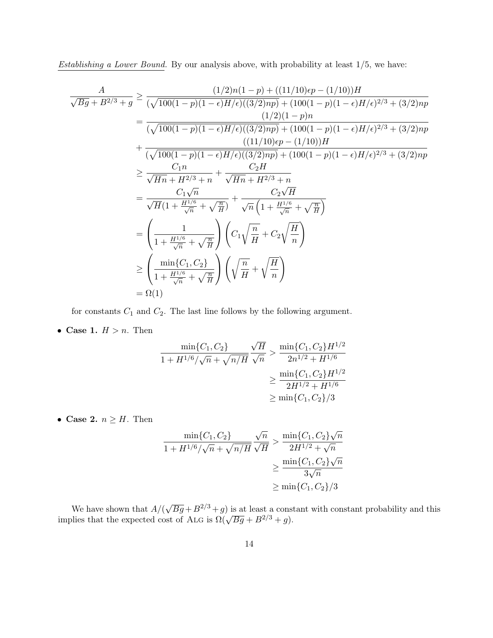Establishing a Lower Bound. By our analysis above, with probability at least 1/5, we have:

$$
\frac{A}{\sqrt{Bg} + B^{2/3} + g} \ge \frac{(1/2)n(1-p) + ((11/10)\epsilon p - (1/10))H}{(\sqrt{100(1-p)(1-\epsilon)H/\epsilon)((3/2)np)} + (100(1-p)(1-\epsilon)H/\epsilon)^{2/3} + (3/2)np}
$$
\n
$$
= \frac{(1/2)(1-p)n}{(\sqrt{100(1-p)(1-\epsilon)H/\epsilon)((3/2)np)} + (100(1-p)(1-\epsilon)H/\epsilon)^{2/3} + (3/2)np}
$$
\n
$$
+ \frac{((11/10)\epsilon p - (1/10))H}{(\sqrt{100(1-p)(1-\epsilon)H/\epsilon)((3/2)np)} + (100(1-p)(1-\epsilon)H/\epsilon)^{2/3} + (3/2)np}
$$
\n
$$
\ge \frac{C_1n}{\sqrt{Hn} + H^{2/3} + n} + \frac{C_2H}{\sqrt{Hn} + H^{2/3} + n}
$$
\n
$$
= \frac{C_1\sqrt{n}}{\sqrt{H}(1 + \frac{H^{1/6}}{\sqrt{n}} + \sqrt{\frac{n}{H}})} + \frac{C_2\sqrt{H}}{\sqrt{n}\left(1 + \frac{H^{1/6}}{\sqrt{n}} + \sqrt{\frac{n}{H}}\right)}
$$
\n
$$
= \left(\frac{1}{1 + \frac{H^{1/6}}{\sqrt{n}} + \sqrt{\frac{n}{H}}}\right)\left(C_1\sqrt{\frac{n}{H}} + C_2\sqrt{\frac{H}{n}}\right)
$$
\n
$$
\ge \left(\frac{\min\{C_1, C_2\}}{1 + \frac{H^{1/6}}{\sqrt{n}} + \sqrt{\frac{n}{H}}}\right)\left(\sqrt{\frac{n}{H}} + \sqrt{\frac{H}{n}}\right)
$$
\n
$$
= \Omega(1)
$$

for constants  $C_1$  and  $C_2$ . The last line follows by the following argument.

• Case 1.  $H > n$ . Then

$$
\frac{\min\{C_1, C_2\}}{1 + H^{1/6}/\sqrt{n} + \sqrt{n/H}} \frac{\sqrt{H}}{\sqrt{n}} > \frac{\min\{C_1, C_2\}H^{1/2}}{2n^{1/2} + H^{1/6}}
$$

$$
\geq \frac{\min\{C_1, C_2\}H^{1/2}}{2H^{1/2} + H^{1/6}}
$$

$$
\geq \min\{C_1, C_2\}/3
$$

• Case 2.  $n \geq H$ . Then

$$
\frac{\min\{C_1, C_2\}}{1 + H^{1/6}/\sqrt{n} + \sqrt{n/H}} \frac{\sqrt{n}}{\sqrt{H}} > \frac{\min\{C_1, C_2\}\sqrt{n}}{2H^{1/2} + \sqrt{n}}
$$

$$
\geq \frac{\min\{C_1, C_2\}\sqrt{n}}{3\sqrt{n}}
$$

$$
\geq \min\{C_1, C_2\}/3
$$

We have shown that  $A/(\mathbb{R})$ We have shown that  $A/(\sqrt{Bg} + B^{2/3} + g)$  is at least a constant with constant probability and this implies that the expected cost of ALG is  $\Omega(\sqrt{Bg} + B^{2/3} + g)$ .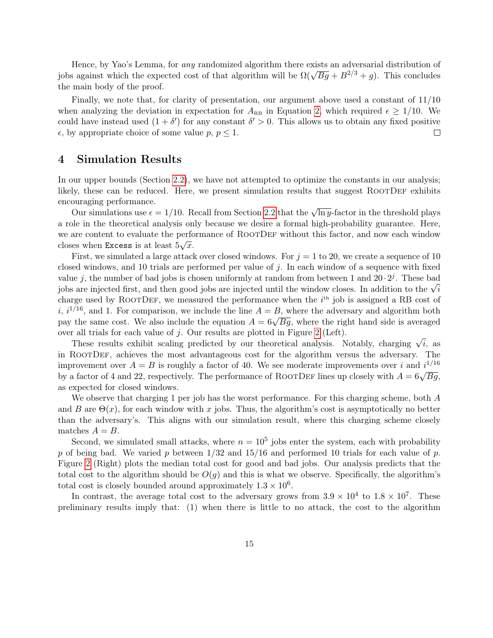Hence, by Yao's Lemma, for any randomized algorithm there exists an adversarial distribution of Thence, by the stemma, for any randomized algorithm there exists an adversarial distribution of jobs against which the expected cost of that algorithm will be  $\Omega(\sqrt{Bg} + B^{2/3} + g)$ . This concludes the main body of the proof.

Finally, we note that, for clarity of presentation, our argument above used a constant of 11/10 when analyzing the deviation in expectation for  $A_{\text{RB}}$  in Equation [2,](#page-12-0) which required  $\epsilon \geq 1/10$ . We could have instead used  $(1 + \delta')$  for any constant  $\delta' > 0$ . This allows us to obtain any fixed positive  $\epsilon$ , by appropriate choice of some value  $p, p \leq 1$ .  $\Box$ 

## 4 Simulation Results

In our upper bounds (Section [2.2\)](#page-5-3), we have not attempted to optimize the constants in our analysis; likely, these can be reduced. Here, we present simulation results that suggest ROOTDEF exhibits encouraging performance.

our simulations use  $\epsilon = 1/10$ . Recall from Section [2.2](#page-5-3) that the  $\sqrt{\ln y}$ -factor in the threshold plays a role in the theoretical analysis only because we desire a formal high-probability guarantee. Here, we are content to evaluate the performance of ROOTDEF without this factor, and now each window closes when Excess is at least  $5\sqrt{x}$ .

First, we simulated a large attack over closed windows. For  $j = 1$  to 20, we create a sequence of 10 closed windows, and 10 trials are performed per value of j. In each window of a sequence with fixed value j, the number of bad jobs is chosen uniformly at random from between 1 and  $20 \cdot 2^{j}$ . These bad value *j*, the number of bad jobs is chosen uniformly at random from between 1 and 20  $\cdot$  2. These bad jobs are injected first, and then good jobs are injected until the window closes. In addition to the √*i* charge used by ROOTDEF, we measured the performance when the  $i<sup>th</sup>$  job is assigned a RB cost of i,  $i^{1/16}$ , and 1. For comparison, we include the line  $A = B$ , where the adversary and algorithm both  $p$ , and i. For comparison, we include the line  $A = D$ , where the adversary and algorithm both pay the same cost. We also include the equation  $A = 6\sqrt{Bg}$ , where the right hand side is averaged over all trials for each value of  $j$ . Our results are plotted in Figure [2](#page-15-0) (Left).

These results exhibit scaling predicted by our theoretical analysis. Notably, charging  $\sqrt{i}$ , as in RootDef, achieves the most advantageous cost for the algorithm versus the adversary. The improvement over  $A = B$  is roughly a factor of 40. We see moderate improvements over i and  $i^{1/16}$ by a factor of 4 and 22, respectively. The performance of ROOTDEF lines up closely with  $A = 6\sqrt{Bg}$ , as expected for closed windows.

We observe that charging 1 per job has the worst performance. For this charging scheme, both A and B are  $\Theta(x)$ , for each window with x jobs. Thus, the algorithm's cost is asymptotically no better than the adversary's. This aligns with our simulation result, where this charging scheme closely matches  $A = B$ .

Second, we simulated small attacks, where  $n = 10<sup>5</sup>$  jobs enter the system, each with probability p of being bad. We varied p between  $1/32$  and  $15/16$  and performed 10 trials for each value of p. Figure [2](#page-15-0) (Right) plots the median total cost for good and bad jobs. Our analysis predicts that the total cost to the algorithm should be  $O(g)$  and this is what we observe. Specifically, the algorithm's total cost is closely bounded around approximately  $1.3 \times 10^6$ .

In contrast, the average total cost to the adversary grows from  $3.9 \times 10^4$  to  $1.8 \times 10^7$ . These preliminary results imply that: (1) when there is little to no attack, the cost to the algorithm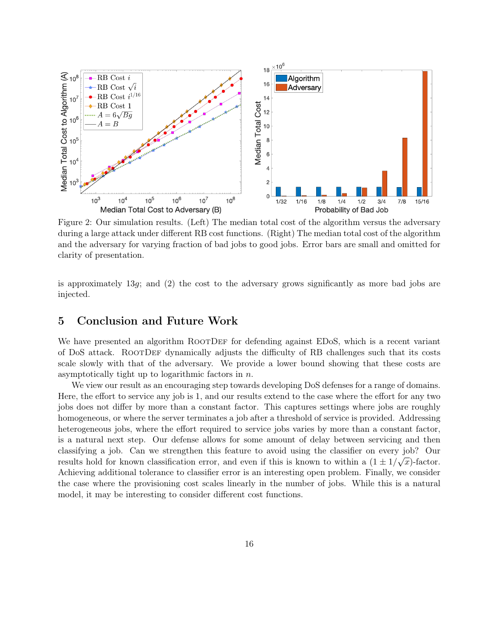<span id="page-15-0"></span>

Figure 2: Our simulation results. (Left) The median total cost of the algorithm versus the adversary during a large attack under different RB cost functions. (Right) The median total cost of the algorithm and the adversary for varying fraction of bad jobs to good jobs. Error bars are small and omitted for clarity of presentation.

is approximately 13 $g$ ; and (2) the cost to the adversary grows significantly as more bad jobs are injected.

## 5 Conclusion and Future Work

We have presented an algorithm ROOTDEF for defending against EDoS, which is a recent variant of DoS attack. RootDef dynamically adjusts the difficulty of RB challenges such that its costs scale slowly with that of the adversary. We provide a lower bound showing that these costs are asymptotically tight up to logarithmic factors in  $n$ .

We view our result as an encouraging step towards developing DoS defenses for a range of domains. Here, the effort to service any job is 1, and our results extend to the case where the effort for any two jobs does not differ by more than a constant factor. This captures settings where jobs are roughly homogeneous, or where the server terminates a job after a threshold of service is provided. Addressing heterogeneous jobs, where the effort required to service jobs varies by more than a constant factor, is a natural next step. Our defense allows for some amount of delay between servicing and then classifying a job. Can we strengthen this feature to avoid using the classifier on every job? Our results hold for known classification error, and even if this is known to within a  $(1 \pm 1/\sqrt{x})$ -factor. Achieving additional tolerance to classifier error is an interesting open problem. Finally, we consider the case where the provisioning cost scales linearly in the number of jobs. While this is a natural model, it may be interesting to consider different cost functions.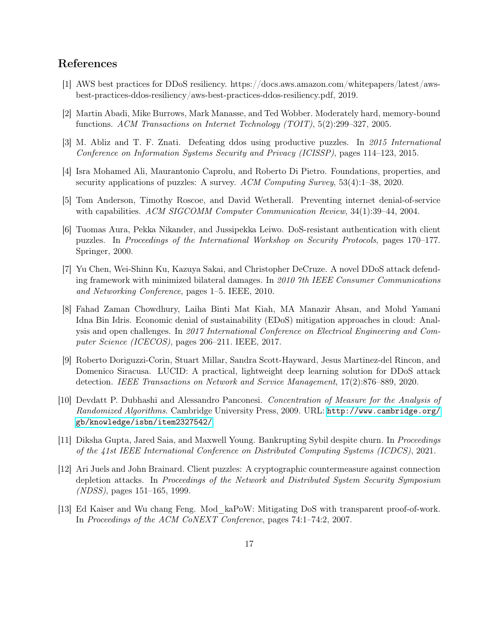# References

- <span id="page-16-10"></span>[1] AWS best practices for DDoS resiliency. https://docs.aws.amazon.com/whitepapers/latest/awsbest-practices-ddos-resiliency/aws-best-practices-ddos-resiliency.pdf, 2019.
- <span id="page-16-7"></span>[2] Martin Abadi, Mike Burrows, Mark Manasse, and Ted Wobber. Moderately hard, memory-bound functions. ACM Transactions on Internet Technology (TOIT), 5(2):299–327, 2005.
- <span id="page-16-1"></span>[3] M. Abliz and T. F. Znati. Defeating ddos using productive puzzles. In 2015 International Conference on Information Systems Security and Privacy (ICISSP), pages 114–123, 2015.
- <span id="page-16-6"></span>[4] Isra Mohamed Ali, Maurantonio Caprolu, and Roberto Di Pietro. Foundations, properties, and security applications of puzzles: A survey. ACM Computing Survey, 53(4):1–38, 2020.
- <span id="page-16-8"></span>[5] Tom Anderson, Timothy Roscoe, and David Wetherall. Preventing internet denial-of-service with capabilities. ACM SIGCOMM Computer Communication Review, 34(1):39–44, 2004.
- <span id="page-16-2"></span>[6] Tuomas Aura, Pekka Nikander, and Jussipekka Leiwo. DoS-resistant authentication with client puzzles. In Proceedings of the International Workshop on Security Protocols, pages 170–177. Springer, 2000.
- <span id="page-16-3"></span>[7] Yu Chen, Wei-Shinn Ku, Kazuya Sakai, and Christopher DeCruze. A novel DDoS attack defending framework with minimized bilateral damages. In 2010 7th IEEE Consumer Communications and Networking Conference, pages 1–5. IEEE, 2010.
- <span id="page-16-0"></span>[8] Fahad Zaman Chowdhury, Laiha Binti Mat Kiah, MA Manazir Ahsan, and Mohd Yamani Idna Bin Idris. Economic denial of sustainability (EDoS) mitigation approaches in cloud: Analysis and open challenges. In 2017 International Conference on Electrical Engineering and Computer Science (ICECOS), pages 206–211. IEEE, 2017.
- <span id="page-16-9"></span>[9] Roberto Doriguzzi-Corin, Stuart Millar, Sandra Scott-Hayward, Jesus Martinez-del Rincon, and Domenico Siracusa. LUCID: A practical, lightweight deep learning solution for DDoS attack detection. IEEE Transactions on Network and Service Management, 17(2):876–889, 2020.
- <span id="page-16-11"></span>[10] Devdatt P. Dubhashi and Alessandro Panconesi. Concentration of Measure for the Analysis of Randomized Algorithms. Cambridge University Press, 2009. URL: [http://www.cambridge.org/](http://www.cambridge.org/gb/knowledge/isbn/item2327542/) [gb/knowledge/isbn/item2327542/](http://www.cambridge.org/gb/knowledge/isbn/item2327542/).
- <span id="page-16-12"></span>[11] Diksha Gupta, Jared Saia, and Maxwell Young. Bankrupting Sybil despite churn. In Proceedings of the 41st IEEE International Conference on Distributed Computing Systems (ICDCS), 2021.
- <span id="page-16-4"></span>[12] Ari Juels and John Brainard. Client puzzles: A cryptographic countermeasure against connection depletion attacks. In Proceedings of the Network and Distributed System Security Symposium (NDSS), pages 151–165, 1999.
- <span id="page-16-5"></span>[13] Ed Kaiser and Wu chang Feng. Mod\_kaPoW: Mitigating DoS with transparent proof-of-work. In Proceedings of the ACM CoNEXT Conference, pages 74:1–74:2, 2007.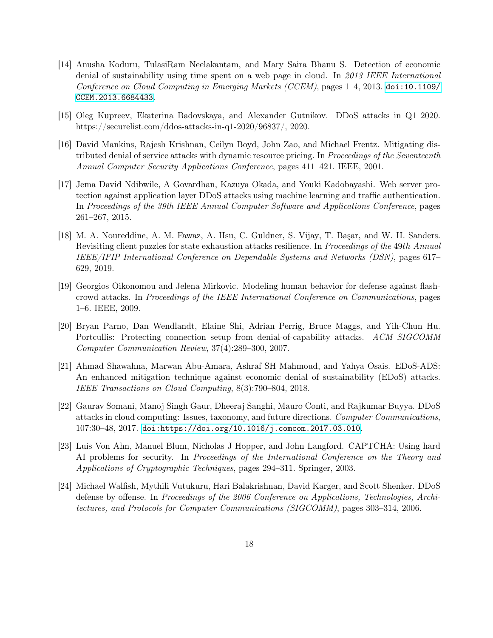- <span id="page-17-0"></span>[14] Anusha Koduru, TulasiRam Neelakantam, and Mary Saira Bhanu S. Detection of economic denial of sustainability using time spent on a web page in cloud. In 2013 IEEE International Conference on Cloud Computing in Emerging Markets (CCEM), pages  $1-4$ , 2013. [doi:10.1109/](https://doi.org/10.1109/CCEM.2013.6684433) [CCEM.2013.6684433](https://doi.org/10.1109/CCEM.2013.6684433).
- <span id="page-17-3"></span>[15] Oleg Kupreev, Ekaterina Badovskaya, and Alexander Gutnikov. DDoS attacks in Q1 2020. https://securelist.com/ddos-attacks-in-q1-2020/96837/, 2020.
- <span id="page-17-4"></span>[16] David Mankins, Rajesh Krishnan, Ceilyn Boyd, John Zao, and Michael Frentz. Mitigating distributed denial of service attacks with dynamic resource pricing. In Proceedings of the Seventeenth Annual Computer Security Applications Conference, pages 411–421. IEEE, 2001.
- <span id="page-17-10"></span>[17] Jema David Ndibwile, A Govardhan, Kazuya Okada, and Youki Kadobayashi. Web server protection against application layer DDoS attacks using machine learning and traffic authentication. In Proceedings of the 39th IEEE Annual Computer Software and Applications Conference, pages 261–267, 2015.
- <span id="page-17-5"></span>[18] M. A. Noureddine, A. M. Fawaz, A. Hsu, C. Guldner, S. Vijay, T. Başar, and W. H. Sanders. Revisiting client puzzles for state exhaustion attacks resilience. In Proceedings of the 49th Annual IEEE/IFIP International Conference on Dependable Systems and Networks (DSN), pages 617– 629, 2019.
- <span id="page-17-8"></span>[19] Georgios Oikonomou and Jelena Mirkovic. Modeling human behavior for defense against flashcrowd attacks. In Proceedings of the IEEE International Conference on Communications, pages 1–6. IEEE, 2009.
- <span id="page-17-6"></span>[20] Bryan Parno, Dan Wendlandt, Elaine Shi, Adrian Perrig, Bruce Maggs, and Yih-Chun Hu. Portcullis: Protecting connection setup from denial-of-capability attacks. ACM SIGCOMM Computer Communication Review, 37(4):289–300, 2007.
- <span id="page-17-1"></span>[21] Ahmad Shawahna, Marwan Abu-Amara, Ashraf SH Mahmoud, and Yahya Osais. EDoS-ADS: An enhanced mitigation technique against economic denial of sustainability (EDoS) attacks. IEEE Transactions on Cloud Computing, 8(3):790–804, 2018.
- <span id="page-17-2"></span>[22] Gaurav Somani, Manoj Singh Gaur, Dheeraj Sanghi, Mauro Conti, and Rajkumar Buyya. DDoS attacks in cloud computing: Issues, taxonomy, and future directions. Computer Communications, 107:30–48, 2017. [doi:https://doi.org/10.1016/j.comcom.2017.03.010](https://doi.org/https://doi.org/10.1016/j.comcom.2017.03.010).
- <span id="page-17-9"></span>[23] Luis Von Ahn, Manuel Blum, Nicholas J Hopper, and John Langford. CAPTCHA: Using hard AI problems for security. In Proceedings of the International Conference on the Theory and Applications of Cryptographic Techniques, pages 294–311. Springer, 2003.
- <span id="page-17-7"></span>[24] Michael Walfish, Mythili Vutukuru, Hari Balakrishnan, David Karger, and Scott Shenker. DDoS defense by offense. In Proceedings of the 2006 Conference on Applications, Technologies, Architectures, and Protocols for Computer Communications (SIGCOMM), pages 303–314, 2006.